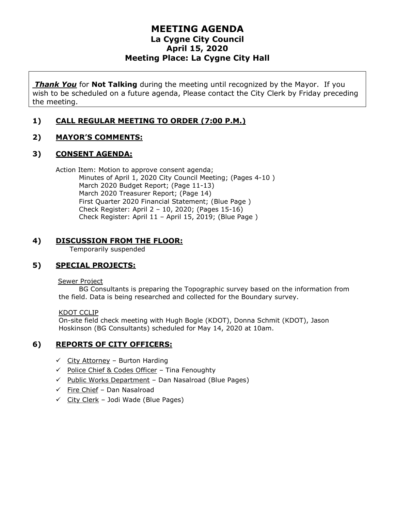# **MEETING AGENDA La Cygne City Council April 15, 2020 Meeting Place: La Cygne City Hall**

*Thank You* for **Not Talking** during the meeting until recognized by the Mayor. If you wish to be scheduled on a future agenda, Please contact the City Clerk by Friday preceding the meeting.

# **1) CALL REGULAR MEETING TO ORDER (7:00 P.M.)**

# **2) MAYOR'S COMMENTS:**

### **3) CONSENT AGENDA:**

Action Item: Motion to approve consent agenda; Minutes of April 1, 2020 City Council Meeting; (Pages 4-10 ) March 2020 Budget Report; (Page 11-13) March 2020 Treasurer Report; (Page 14) First Quarter 2020 Financial Statement; (Blue Page ) Check Register: April 2 – 10, 2020; (Pages 15-16) Check Register: April 11 – April 15, 2019; (Blue Page )

# **4) DISCUSSION FROM THE FLOOR:**

Temporarily suspended

# **5) SPECIAL PROJECTS:**

#### Sewer Project

BG Consultants is preparing the Topographic survey based on the information from the field. Data is being researched and collected for the Boundary survey.

#### KDOT CCLIP

On-site field check meeting with Hugh Bogle (KDOT), Donna Schmit (KDOT), Jason Hoskinson (BG Consultants) scheduled for May 14, 2020 at 10am.

# **6) REPORTS OF CITY OFFICERS:**

- $\checkmark$  City Attorney Burton Harding
- $\checkmark$  Police Chief & Codes Officer Tina Fenoughty
- $\checkmark$  Public Works Department Dan Nasalroad (Blue Pages)
- $\checkmark$  Fire Chief Dan Nasalroad
- $\checkmark$  City Clerk Jodi Wade (Blue Pages)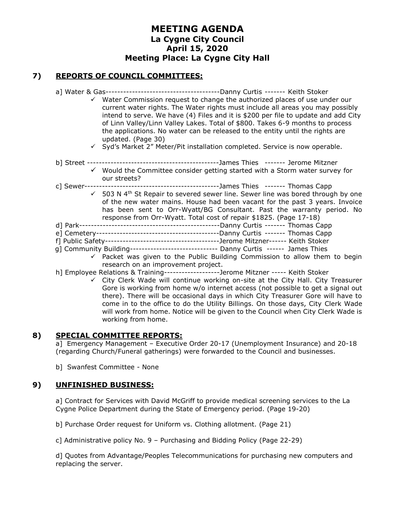# **MEETING AGENDA La Cygne City Council April 15, 2020 Meeting Place: La Cygne City Hall**

# **7) REPORTS OF COUNCIL COMMITTEES:**

- a] Water & Gas---------------------------------------Danny Curtis ------- Keith Stoker  $\checkmark$  Water Commission request to change the authorized places of use under our current water rights. The Water rights must include all areas you may possibly intend to serve. We have (4) Files and it is \$200 per file to update and add City of Linn Valley/Linn Valley Lakes. Total of \$800. Takes 6-9 months to process the applications. No water can be released to the entity until the rights are updated. (Page 30)
	- $\checkmark$  Syd's Market 2" Meter/Pit installation completed. Service is now operable.
- b] Street ---------------------------------------------James Thies ------- Jerome Mitzner  $\checkmark$  Would the Committee consider getting started with a Storm water survey for our streets?
- c] Sewer----------------------------------------------James Thies ------- Thomas Capp
	- $\checkmark$  503 N 4<sup>th</sup> St Repair to severed sewer line. Sewer line was bored through by one of the new water mains. House had been vacant for the past 3 years. Invoice has been sent to Orr-Wyatt/BG Consultant. Past the warranty period. No response from Orr-Wyatt. Total cost of repair \$1825. (Page 17-18)
- d] Park------------------------------------------------Danny Curtis ------- Thomas Capp
- e] Cemetery------------------------------------------Danny Curtis ------- Thomas Capp
- f] Public Safety---------------------------------------Jerome Mitzner------ Keith Stoker
- g] Community Building------------------------------ Danny Curtis ------ James Thies
	- $\checkmark$  Packet was given to the Public Building Commission to allow them to begin research on an improvement project.
- h] Employee Relations & Training-------------------Jerome Mitzner ----- Keith Stoker
	- $\checkmark$  City Clerk Wade will continue working on-site at the City Hall. City Treasurer Gore is working from home w/o internet access (not possible to get a signal out there). There will be occasional days in which City Treasurer Gore will have to come in to the office to do the Utility Billings. On those days, City Clerk Wade will work from home. Notice will be given to the Council when City Clerk Wade is working from home.

# **8) SPECIAL COMMITTEE REPORTS:**

a] Emergency Management – Executive Order 20-17 (Unemployment Insurance) and 20-18 (regarding Church/Funeral gatherings) were forwarded to the Council and businesses.

b] Swanfest Committee - None

# **9) UNFINISHED BUSINESS:**

a] Contract for Services with David McGriff to provide medical screening services to the La Cygne Police Department during the State of Emergency period. (Page 19-20)

b] Purchase Order request for Uniform vs. Clothing allotment. (Page 21)

c] Administrative policy No. 9 – Purchasing and Bidding Policy (Page 22-29)

d] Quotes from Advantage/Peoples Telecommunications for purchasing new computers and replacing the server.